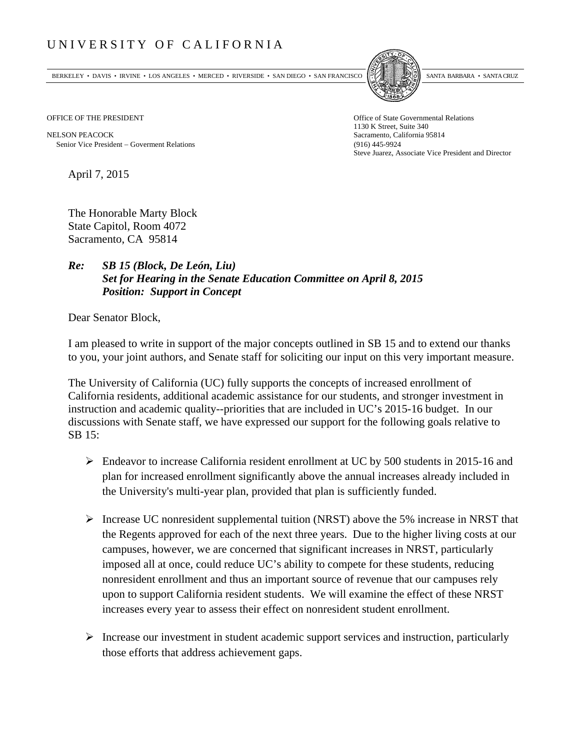## UNIVERSITY OF CALIFORNIA

BERKELEY • DAVIS • IRVINE • LOS ANGELES • MERCED • RIVERSIDE • SAN DIEGO • SAN FRANCISCO SANTA BARBARA • SANTA CRUZ



1130 K Street, Suite 340 Steve Juarez, Associate Vice President and Director

OFFICE OF THE PRESIDENT STATES OF THE PRESIDENT

NELSON PEACOCK Sacramento, California 95814 Senior Vice President Goverment Relations (916) 445-9924

April 7, 2015

The Honorable Marty Block State Capitol, Room 4072 Sacramento, CA 95814

## *Re: SB 15 (Block, De León, Liu) Set for Hearing in the Senate Education Committee on April 8, 2015 Position: Support in Concept*

Dear Senator Block,

I am pleased to write in support of the major concepts outlined in SB 15 and to extend our thanks to you, your joint authors, and Senate staff for soliciting our input on this very important measure.

The University of California (UC) fully supports the concepts of increased enrollment of California residents, additional academic assistance for our students, and stronger investment in instruction and academic quality--priorities that are included in UC's 2015-16 budget. In our discussions with Senate staff, we have expressed our support for the following goals relative to SB 15:

- Endeavor to increase California resident enrollment at UC by 500 students in 2015-16 and plan for increased enrollment significantly above the annual increases already included in the University's multi-year plan, provided that plan is sufficiently funded.
- Increase UC nonresident supplemental tuition (NRST) above the 5% increase in NRST that the Regents approved for each of the next three years. Due to the higher living costs at our campuses, however, we are concerned that significant increases in NRST, particularly imposed all at once, could reduce UC's ability to compete for these students, reducing nonresident enrollment and thus an important source of revenue that our campuses rely upon to support California resident students. We will examine the effect of these NRST increases every year to assess their effect on nonresident student enrollment.
- $\triangleright$  Increase our investment in student academic support services and instruction, particularly those efforts that address achievement gaps.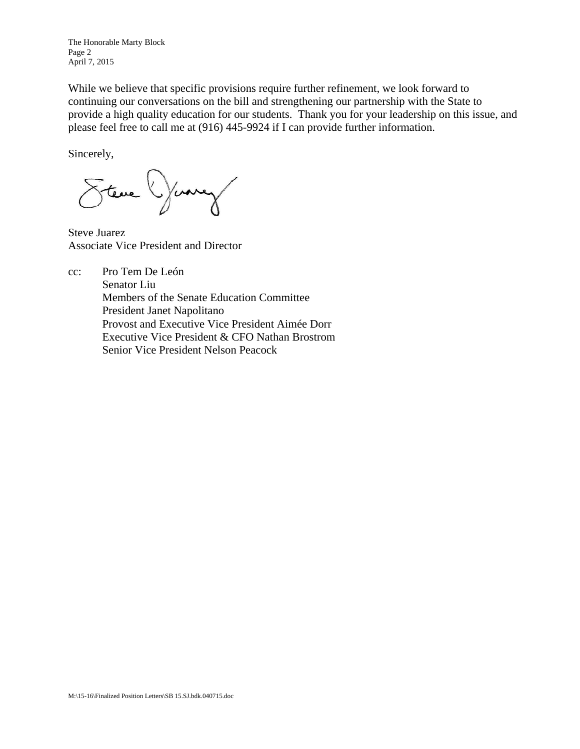The Honorable Marty Block Page 2 April 7, 2015

While we believe that specific provisions require further refinement, we look forward to continuing our conversations on the bill and strengthening our partnership with the State to provide a high quality education for our students. Thank you for your leadership on this issue, and please feel free to call me at (916) 445-9924 if I can provide further information.

Sincerely,

Steve Yuney

Steve Juarez Associate Vice President and Director

cc: Pro Tem De León

 Senator Liu Members of the Senate Education Committee President Janet Napolitano Provost and Executive Vice President Aimée Dorr Executive Vice President & CFO Nathan Brostrom Senior Vice President Nelson Peacock